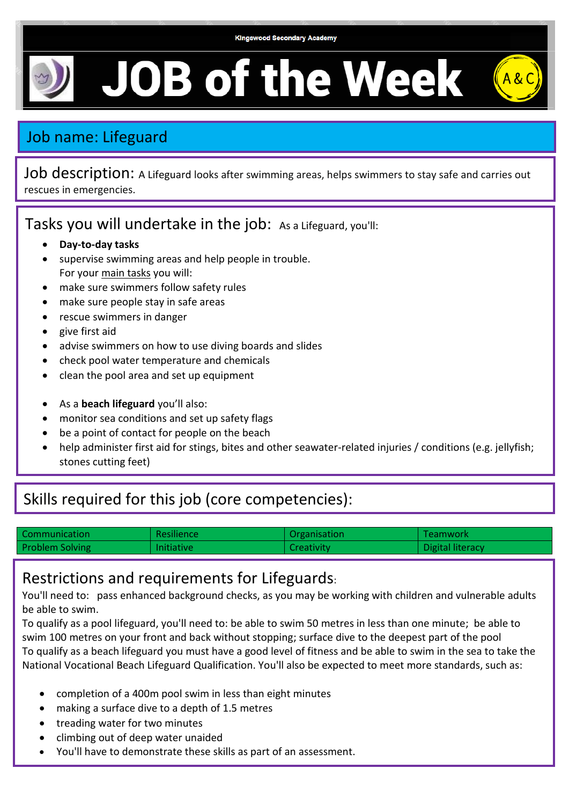## **JOB of the Week**

## Job name: Lifeguard

Job description: A Lifeguard looks after swimming areas, helps swimmers to stay safe and carries out rescues in emergencies.

Tasks you will undertake in the job: As a Lifeguard, you'll:

- **Day-to-day tasks**
- supervise swimming areas and help people in trouble. For your main tasks you will:
- make sure swimmers follow safety rules
- make sure people stay in safe areas
- rescue swimmers in danger
- give first aid
- advise swimmers on how to use diving boards and slides
- check pool water temperature and chemicals
- clean the pool area and set up equipment
- As a **beach lifeguard** you'll also:
- monitor sea conditions and set up safety flags
- be a point of contact for people on the beach
- help administer first aid for stings, bites and other seawater-related injuries / conditions (e.g. jellyfish; stones cutting feet)

## Skills required for this job (core competencies):

| Communication          | <b>Resilience</b> | Organisation | Teamwork         |
|------------------------|-------------------|--------------|------------------|
| <b>Problem Solving</b> | <b>Initiative</b> | Creativity.  | Digital literacy |

## Restrictions and requirements for Lifeguards:

You'll need to: pass enhanced background checks, as you may be working with children and vulnerable adults be able to swim.

To qualify as a pool lifeguard, you'll need to: be able to swim 50 metres in less than one minute; be able to swim 100 metres on your front and back without stopping; surface dive to the deepest part of the pool To qualify as a beach lifeguard you must have a good level of fitness and be able to swim in the sea to take the National Vocational Beach Lifeguard Qualification. You'll also be expected to meet more standards, such as:

- completion of a 400m pool swim in less than eight minutes
- making a surface dive to a depth of 1.5 metres
- treading water for two minutes
- climbing out of deep water unaided
- You'll have to demonstrate these skills as part of an assessment.